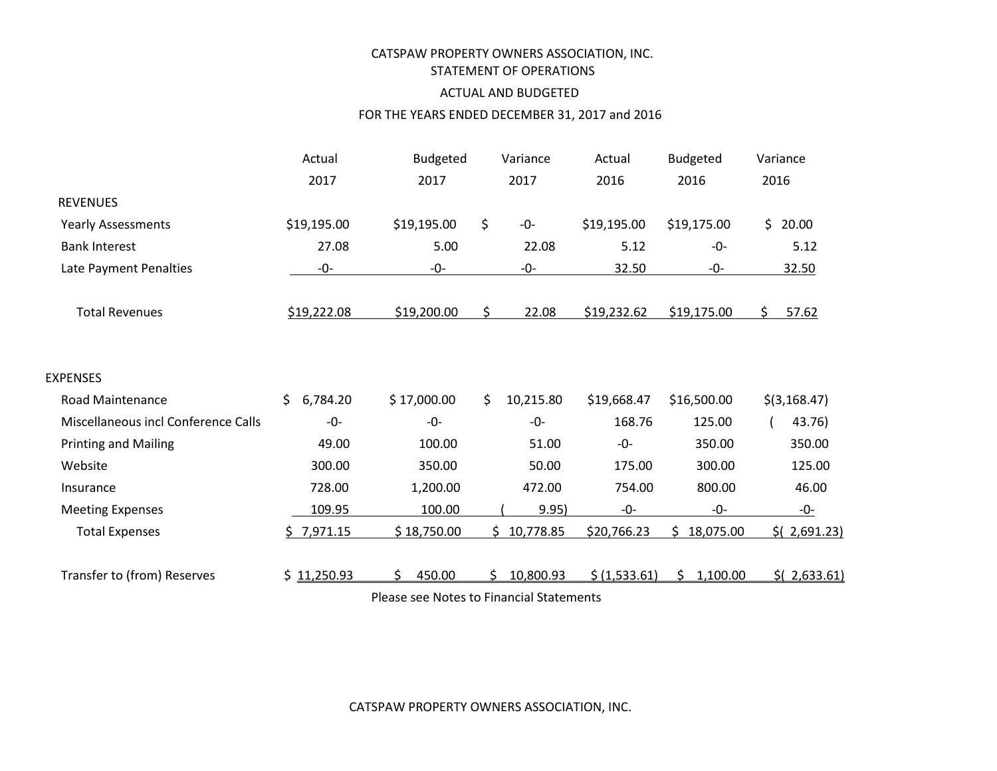# CATSPAW PROPERTY OWNERS ASSOCIATION, INC. STATEMENT OF OPERATIONS

## ACTUAL AND BUDGETED

### FOR THE YEARS ENDED DECEMBER 31, 2017 and 2016

|                                            | Actual         | Budgeted    |     | Variance  | Actual        | <b>Budgeted</b> |      | Variance       |
|--------------------------------------------|----------------|-------------|-----|-----------|---------------|-----------------|------|----------------|
|                                            | 2017           | 2017        |     | 2017      | 2016          | 2016            | 2016 |                |
| <b>REVENUES</b>                            |                |             |     |           |               |                 |      |                |
| <b>Yearly Assessments</b>                  | \$19,195.00    | \$19,195.00 | \$  | -0-       | \$19,195.00   | \$19,175.00     |      | \$20.00        |
| <b>Bank Interest</b>                       | 27.08          | 5.00        |     | 22.08     | 5.12          | -0-             |      | 5.12           |
| Late Payment Penalties                     | $-0-$          | $-0-$       |     | -0-       | 32.50         | $-0-$           |      | 32.50          |
| <b>Total Revenues</b>                      | \$19,222.08    | \$19,200.00 | Ś.  | 22.08     | \$19,232.62   | \$19,175.00     | Ś.   | 57.62          |
| <b>EXPENSES</b><br><b>Road Maintenance</b> | \$<br>6,784.20 | \$17,000.00 | \$  | 10,215.80 | \$19,668.47   | \$16,500.00     |      | $$$ (3,168.47) |
| Miscellaneous incl Conference Calls        | $-0-$          | $-0-$       |     | $-0-$     | 168.76        | 125.00          |      | 43.76)         |
| <b>Printing and Mailing</b>                | 49.00          | 100.00      |     | 51.00     | $-0-$         | 350.00          |      | 350.00         |
| Website                                    | 300.00         | 350.00      |     | 50.00     | 175.00        | 300.00          |      | 125.00         |
| Insurance                                  | 728.00         | 1,200.00    |     | 472.00    | 754.00        | 800.00          |      | 46.00          |
| <b>Meeting Expenses</b>                    | 109.95         | 100.00      |     | 9.95)     | $-0-$         | $-0-$           |      | -0-            |
| <b>Total Expenses</b>                      | \$7,971.15     | \$18,750.00 | \$. | 10,778.85 | \$20,766.23   | 18,075.00       |      | $$$ (2,691.23) |
| Transfer to (from) Reserves                | \$11,250.93    | 450.00<br>ς | Ś   | 10,800.93 | \$ (1,533.61) | 1,100.00<br>Ś.  |      | $$$ (2,633.61) |

Please see Notes to Financial Statements

CATSPAW PROPERTY OWNERS ASSOCIATION, INC.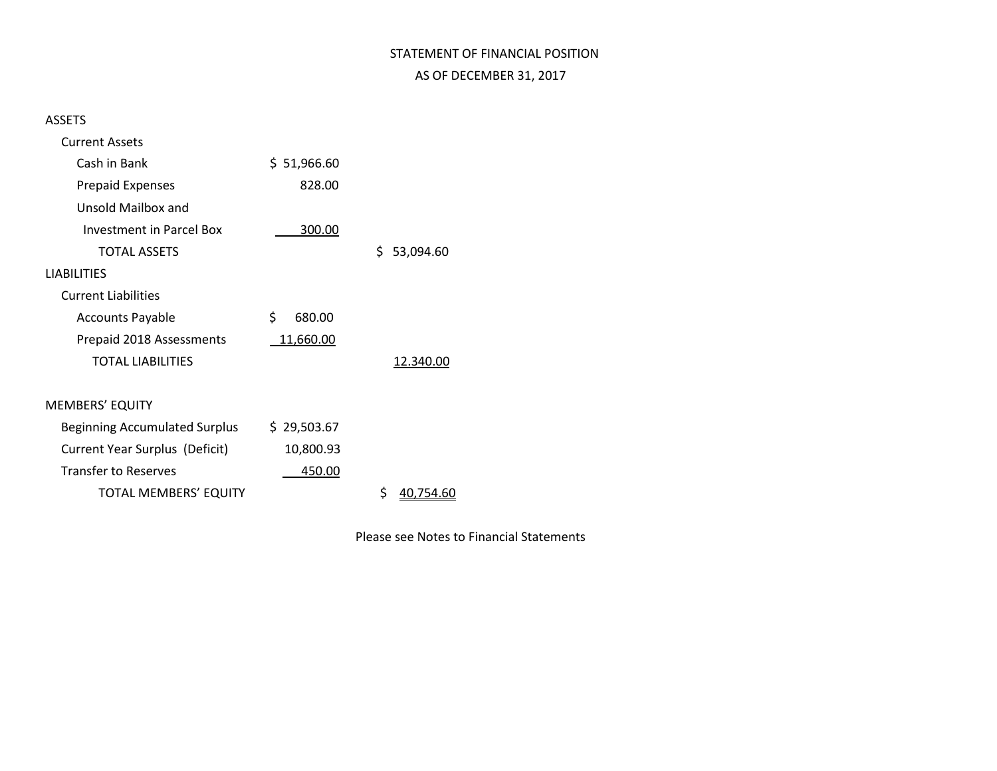# STATEMENT OF FINANCIAL POSITION AS OF DECEMBER 31, 2017

## ASSETS

| <b>Current Assets</b>          |              |                  |
|--------------------------------|--------------|------------------|
| Cash in Bank                   | \$1,966.60   |                  |
| <b>Prepaid Expenses</b>        | 828.00       |                  |
| Unsold Mailbox and             |              |                  |
| Investment in Parcel Box       | 300.00       |                  |
| <b>TOTAL ASSETS</b>            |              | \$.<br>53,094.60 |
| <b>LIABILITIES</b>             |              |                  |
| <b>Current Liabilities</b>     |              |                  |
| <b>Accounts Payable</b>        | \$<br>680.00 |                  |
| Prepaid 2018 Assessments       | 11,660.00    |                  |
| <b>TOTAL LIABILITIES</b>       |              | 12.340.00        |
|                                |              |                  |
| <b>MEMBERS' EQUITY</b>         |              |                  |
| Beginning Accumulated Surplus  | \$29,503.67  |                  |
| Current Year Surplus (Deficit) | 10,800.93    |                  |
| <b>Transfer to Reserves</b>    | 450.00       |                  |
| <b>TOTAL MEMBERS' EQUITY</b>   |              | \$<br>40,754.60  |

Please see Notes to Financial Statements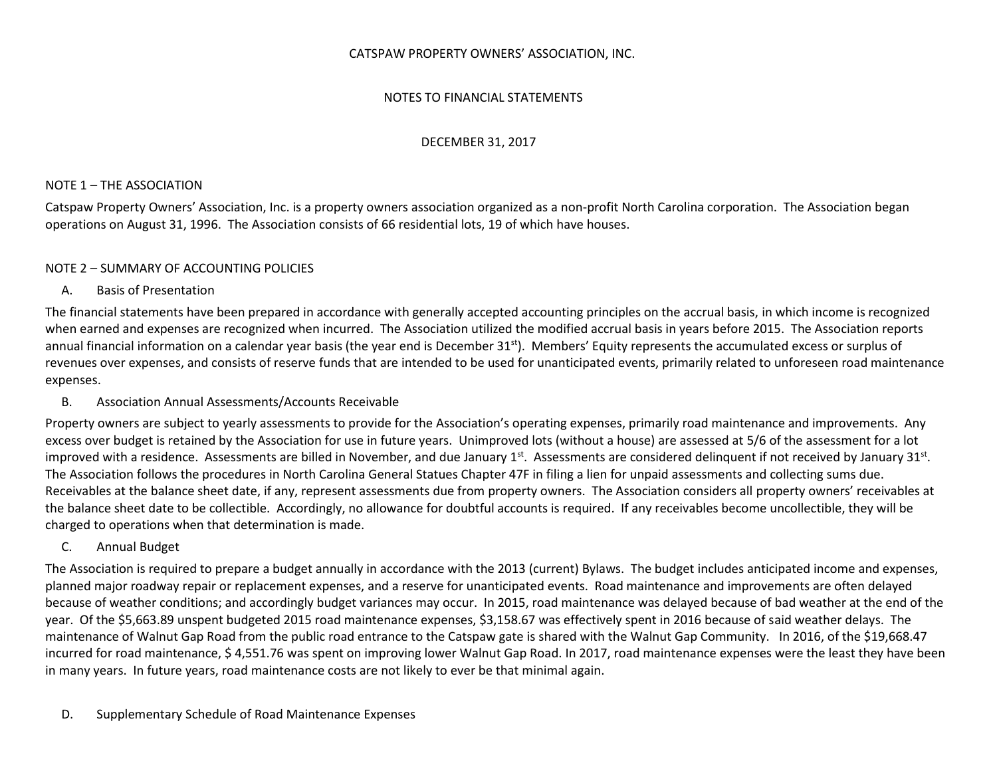#### CATSPAW PROPERTY OWNERS' ASSOCIATION, INC.

### NOTES TO FINANCIAL STATEMENTS

#### DECEMBER 31, 2017

#### NOTE 1 – THE ASSOCIATION

Catspaw Property Owners' Association, Inc. is a property owners association organized as a non-profit North Carolina corporation. The Association began operations on August 31, 1996. The Association consists of 66 residential lots, 19 of which have houses.

#### NOTE 2 – SUMMARY OF ACCOUNTING POLICIES

#### A. Basis of Presentation

The financial statements have been prepared in accordance with generally accepted accounting principles on the accrual basis, in which income is recognized when earned and expenses are recognized when incurred. The Association utilized the modified accrual basis in years before 2015. The Association reports annual financial information on a calendar year basis (the year end is December  $31<sup>st</sup>$ ). Members' Equity represents the accumulated excess or surplus of revenues over expenses, and consists of reserve funds that are intended to be used for unanticipated events, primarily related to unforeseen road maintenance expenses.

### B. Association Annual Assessments/Accounts Receivable

Property owners are subject to yearly assessments to provide for the Association's operating expenses, primarily road maintenance and improvements. Any excess over budget is retained by the Association for use in future years. Unimproved lots (without a house) are assessed at 5/6 of the assessment for a lot improved with a residence. Assessments are billed in November, and due January 1<sup>st</sup>. Assessments are considered delinquent if not received by January 31<sup>st</sup>. The Association follows the procedures in North Carolina General Statues Chapter 47F in filing a lien for unpaid assessments and collecting sums due. Receivables at the balance sheet date, if any, represent assessments due from property owners. The Association considers all property owners' receivables at the balance sheet date to be collectible. Accordingly, no allowance for doubtful accounts is required. If any receivables become uncollectible, they will be charged to operations when that determination is made.

C. Annual Budget

The Association is required to prepare a budget annually in accordance with the 2013 (current) Bylaws. The budget includes anticipated income and expenses, planned major roadway repair or replacement expenses, and a reserve for unanticipated events. Road maintenance and improvements are often delayed because of weather conditions; and accordingly budget variances may occur. In 2015, road maintenance was delayed because of bad weather at the end of the year. Of the \$5,663.89 unspent budgeted 2015 road maintenance expenses, \$3,158.67 was effectively spent in 2016 because of said weather delays. The maintenance of Walnut Gap Road from the public road entrance to the Catspaw gate is shared with the Walnut Gap Community. In 2016, of the \$19,668.47 incurred for road maintenance, \$ 4,551.76 was spent on improving lower Walnut Gap Road. In 2017, road maintenance expenses were the least they have been in many years. In future years, road maintenance costs are not likely to ever be that minimal again.